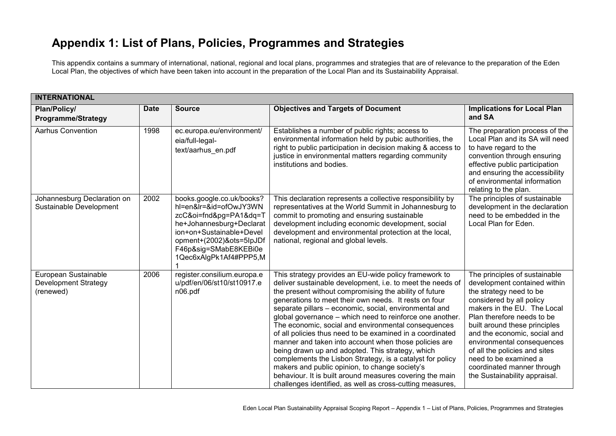## **Appendix 1: List of Plans, Policies, Programmes and Strategies**

This appendix contains a summary of international, national, regional and local plans, programmes and strategies that are of relevance to the preparation of the Eden Local Plan, the objectives of which have been taken into account in the preparation of the Local Plan and its Sustainability Appraisal.

| <b>INTERNATIONAL</b>                                             |             |                                                                                                                                                                                                                      |                                                                                                                                                                                                                                                                                                                                                                                                                                                                                                                                                                                                                                                                                                                                                                                                                                       |                                                                                                                                                                                                                                                                                                                                                                                                           |  |
|------------------------------------------------------------------|-------------|----------------------------------------------------------------------------------------------------------------------------------------------------------------------------------------------------------------------|---------------------------------------------------------------------------------------------------------------------------------------------------------------------------------------------------------------------------------------------------------------------------------------------------------------------------------------------------------------------------------------------------------------------------------------------------------------------------------------------------------------------------------------------------------------------------------------------------------------------------------------------------------------------------------------------------------------------------------------------------------------------------------------------------------------------------------------|-----------------------------------------------------------------------------------------------------------------------------------------------------------------------------------------------------------------------------------------------------------------------------------------------------------------------------------------------------------------------------------------------------------|--|
| Plan/Policy/<br><b>Programme/Strategy</b>                        | <b>Date</b> | <b>Source</b>                                                                                                                                                                                                        | <b>Objectives and Targets of Document</b>                                                                                                                                                                                                                                                                                                                                                                                                                                                                                                                                                                                                                                                                                                                                                                                             | <b>Implications for Local Plan</b><br>and SA                                                                                                                                                                                                                                                                                                                                                              |  |
| <b>Aarhus Convention</b>                                         | 1998        | ec.europa.eu/environment/<br>eia/full-legal-<br>text/aarhus en.pdf                                                                                                                                                   | Establishes a number of public rights; access to<br>environmental information held by pubic authorities, the<br>right to public participation in decision making & access to<br>justice in environmental matters regarding community<br>institutions and bodies.                                                                                                                                                                                                                                                                                                                                                                                                                                                                                                                                                                      | The preparation process of the<br>Local Plan and its SA will need<br>to have regard to the<br>convention through ensuring<br>effective public participation<br>and ensuring the accessibility<br>of environmental information<br>relating to the plan.                                                                                                                                                    |  |
| Johannesburg Declaration on<br>Sustainable Development           | 2002        | books.google.co.uk/books?<br>hl=en&lr=&id=ofOwJY3WN<br>zcC&oi=fnd&pg=PA1&dq=T<br>he+Johannesburg+Declarat<br>ion+on+Sustainable+Devel<br>opment+(2002)&ots=5lpJDf<br>F46p&sig=SMabE8KEBi0e<br>1Qec6xAlgPk1Af4#PPP5,M | This declaration represents a collective responsibility by<br>representatives at the World Summit in Johannesburg to<br>commit to promoting and ensuring sustainable<br>development including economic development, social<br>development and environmental protection at the local,<br>national, regional and global levels.                                                                                                                                                                                                                                                                                                                                                                                                                                                                                                         | The principles of sustainable<br>development in the declaration<br>need to be embedded in the<br>Local Plan for Eden.                                                                                                                                                                                                                                                                                     |  |
| European Sustainable<br><b>Development Strategy</b><br>(renewed) | 2006        | register.consilium.europa.e<br>u/pdf/en/06/st10/st10917.e<br>n06.pdf                                                                                                                                                 | This strategy provides an EU-wide policy framework to<br>deliver sustainable development, i.e. to meet the needs of<br>the present without compromising the ability of future<br>generations to meet their own needs. It rests on four<br>separate pillars - economic, social, environmental and<br>global governance – which need to reinforce one another.<br>The economic, social and environmental consequences<br>of all policies thus need to be examined in a coordinated<br>manner and taken into account when those policies are<br>being drawn up and adopted. This strategy, which<br>complements the Lisbon Strategy, is a catalyst for policy<br>makers and public opinion, to change society's<br>behaviour. It is built around measures covering the main<br>challenges identified, as well as cross-cutting measures, | The principles of sustainable<br>development contained within<br>the strategy need to be<br>considered by all policy<br>makers in the EU. The Local<br>Plan therefore needs to be<br>built around these principles<br>and the economic, social and<br>environmental consequences<br>of all the policies and sites<br>need to be examined a<br>coordinated manner through<br>the Sustainability appraisal. |  |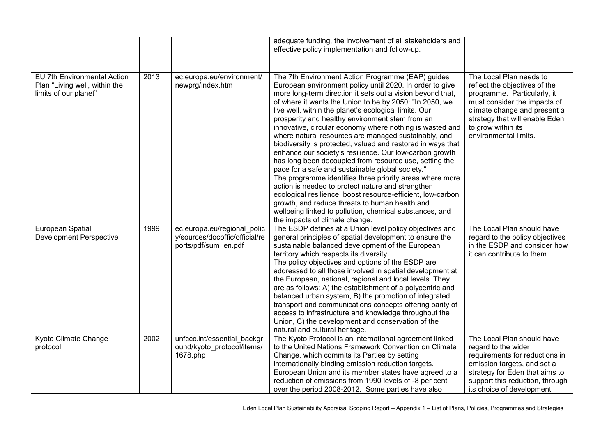|                                                                                       |      |                                                                                       | adequate funding, the involvement of all stakeholders and<br>effective policy implementation and follow-up.                                                                                                                                                                                                                                                                                                                                                                                                                                                                                                                                                                                                                                                                                                                                                                                                                                                                                                                                   |                                                                                                                                                                                                                                          |
|---------------------------------------------------------------------------------------|------|---------------------------------------------------------------------------------------|-----------------------------------------------------------------------------------------------------------------------------------------------------------------------------------------------------------------------------------------------------------------------------------------------------------------------------------------------------------------------------------------------------------------------------------------------------------------------------------------------------------------------------------------------------------------------------------------------------------------------------------------------------------------------------------------------------------------------------------------------------------------------------------------------------------------------------------------------------------------------------------------------------------------------------------------------------------------------------------------------------------------------------------------------|------------------------------------------------------------------------------------------------------------------------------------------------------------------------------------------------------------------------------------------|
| EU 7th Environmental Action<br>Plan "Living well, within the<br>limits of our planet" | 2013 | ec.europa.eu/environment/<br>newprg/index.htm                                         | The 7th Environment Action Programme (EAP) guides<br>European environment policy until 2020. In order to give<br>more long-term direction it sets out a vision beyond that,<br>of where it wants the Union to be by 2050: "In 2050, we<br>live well, within the planet's ecological limits. Our<br>prosperity and healthy environment stem from an<br>innovative, circular economy where nothing is wasted and<br>where natural resources are managed sustainably, and<br>biodiversity is protected, valued and restored in ways that<br>enhance our society's resilience. Our low-carbon growth<br>has long been decoupled from resource use, setting the<br>pace for a safe and sustainable global society."<br>The programme identifies three priority areas where more<br>action is needed to protect nature and strengthen<br>ecological resilience, boost resource-efficient, low-carbon<br>growth, and reduce threats to human health and<br>wellbeing linked to pollution, chemical substances, and<br>the impacts of climate change. | The Local Plan needs to<br>reflect the objectives of the<br>programme. Particularly, it<br>must consider the impacts of<br>climate change and present a<br>strategy that will enable Eden<br>to grow within its<br>environmental limits. |
| European Spatial<br><b>Development Perspective</b>                                    | 1999 | ec.europa.eu/regional polic<br>y/sources/docoffic/official/re<br>ports/pdf/sum_en.pdf | The ESDP defines at a Union level policy objectives and<br>general principles of spatial development to ensure the<br>sustainable balanced development of the European<br>territory which respects its diversity.<br>The policy objectives and options of the ESDP are<br>addressed to all those involved in spatial development at<br>the European, national, regional and local levels. They<br>are as follows: A) the establishment of a polycentric and<br>balanced urban system, B) the promotion of integrated<br>transport and communications concepts offering parity of<br>access to infrastructure and knowledge throughout the<br>Union, C) the development and conservation of the<br>natural and cultural heritage.                                                                                                                                                                                                                                                                                                              | The Local Plan should have<br>regard to the policy objectives<br>in the ESDP and consider how<br>it can contribute to them.                                                                                                              |
| Kyoto Climate Change<br>protocol                                                      | 2002 | unfccc.int/essential backgr<br>ound/kyoto_protocol/items/<br>1678.php                 | The Kyoto Protocol is an international agreement linked<br>to the United Nations Framework Convention on Climate<br>Change, which commits its Parties by setting<br>internationally binding emission reduction targets.<br>European Union and its member states have agreed to a<br>reduction of emissions from 1990 levels of -8 per cent<br>over the period 2008-2012. Some parties have also                                                                                                                                                                                                                                                                                                                                                                                                                                                                                                                                                                                                                                               | The Local Plan should have<br>regard to the wider<br>requirements for reductions in<br>emission targets, and set a<br>strategy for Eden that aims to<br>support this reduction, through<br>its choice of development                     |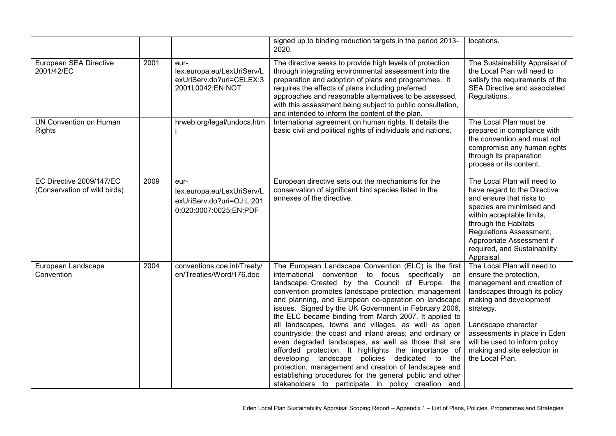|                                                          |      |                                                                                           | signed up to binding reduction targets in the period 2013-<br>2020.                                                                                                                                                                                                                                                                                                                                                                                                                                                                                                                                                                                                                                                                                                                                                                                            | locations.                                                                                                                                                                                                                                                                                             |
|----------------------------------------------------------|------|-------------------------------------------------------------------------------------------|----------------------------------------------------------------------------------------------------------------------------------------------------------------------------------------------------------------------------------------------------------------------------------------------------------------------------------------------------------------------------------------------------------------------------------------------------------------------------------------------------------------------------------------------------------------------------------------------------------------------------------------------------------------------------------------------------------------------------------------------------------------------------------------------------------------------------------------------------------------|--------------------------------------------------------------------------------------------------------------------------------------------------------------------------------------------------------------------------------------------------------------------------------------------------------|
| European SEA Directive<br>2001/42/EC                     | 2001 | eur-<br>lex.europa.eu/LexUriServ/L<br>exUriServ.do?uri=CELEX:3<br>2001L0042:EN:NOT        | The directive seeks to provide high levels of protection<br>through integrating environmental assessment into the<br>preparation and adoption of plans and programmes. It<br>requires the effects of plans including preferred<br>approaches and reasonable alternatives to be assessed,<br>with this assessment being subject to public consultation,<br>and intended to inform the content of the plan.                                                                                                                                                                                                                                                                                                                                                                                                                                                      | The Sustainability Appraisal of<br>the Local Plan will need to<br>satisfy the requirements of the<br>SEA Directive and associated<br>Regulations.                                                                                                                                                      |
| <b>UN Convention on Human</b><br><b>Rights</b>           |      | hrweb.org/legal/undocs.htm                                                                | International agreement on human rights. It details the<br>basic civil and political rights of individuals and nations.                                                                                                                                                                                                                                                                                                                                                                                                                                                                                                                                                                                                                                                                                                                                        | The Local Plan must be<br>prepared in compliance with<br>the convention and must not<br>compromise any human rights<br>through its preparation<br>process or its content.                                                                                                                              |
| EC Directive 2009/147/EC<br>(Conservation of wild birds) | 2009 | eur-<br>lex.europa.eu/LexUriServ/L<br>exUriServ.do?uri=OJ:L:201<br>0:020:0007:0025:EN:PDF | European directive sets out the mechanisms for the<br>conservation of significant bird species listed in the<br>annexes of the directive.                                                                                                                                                                                                                                                                                                                                                                                                                                                                                                                                                                                                                                                                                                                      | The Local Plan will need to<br>have regard to the Directive<br>and ensure that risks to<br>species are minimised and<br>within acceptable limits,<br>through the Habitats<br>Regulations Assessment,<br>Appropriate Assessment if<br>required, and Sustainability<br>Appraisal.                        |
| European Landscape<br>Convention                         | 2004 | conventions.coe.int/Treaty/<br>en/Treaties/Word/176.doc                                   | The European Landscape Convention (ELC) is the first<br>international convention to focus specifically on<br>landscape. Created by the Council of Europe, the<br>convention promotes landscape protection, management<br>and planning, and European co-operation on landscape<br>issues. Signed by the UK Government in February 2006,<br>the ELC became binding from March 2007. It applied to<br>all landscapes, towns and villages, as well as open<br>countryside; the coast and inland areas; and ordinary or<br>even degraded landscapes, as well as those that are<br>afforded protection. It highlights the importance of<br>developing landscape policies dedicated to the<br>protection, management and creation of landscapes and<br>establishing procedures for the general public and other<br>stakeholders to participate in policy creation and | The Local Plan will need to<br>ensure the protection,<br>management and creation of<br>landscapes through its policy<br>making and development<br>strategy.<br>Landscape character<br>assessments in place in Eden<br>will be used to inform policy<br>making and site selection in<br>the Local Plan. |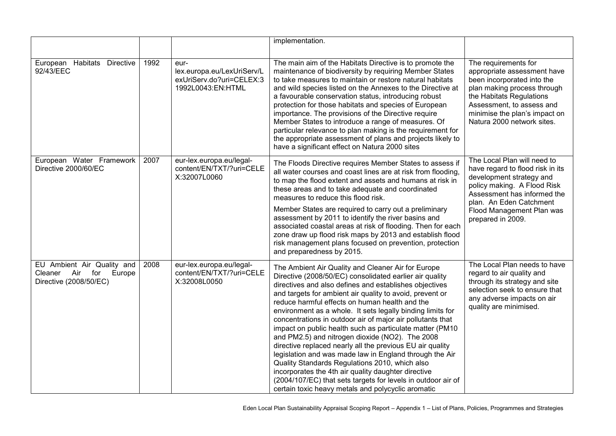|                                                                                   |      |                                                                                     | implementation.                                                                                                                                                                                                                                                                                                                                                                                                                                                                                                                                                                                                                                                                                                                                                                                                                                                                         |                                                                                                                                                                                                                                          |
|-----------------------------------------------------------------------------------|------|-------------------------------------------------------------------------------------|-----------------------------------------------------------------------------------------------------------------------------------------------------------------------------------------------------------------------------------------------------------------------------------------------------------------------------------------------------------------------------------------------------------------------------------------------------------------------------------------------------------------------------------------------------------------------------------------------------------------------------------------------------------------------------------------------------------------------------------------------------------------------------------------------------------------------------------------------------------------------------------------|------------------------------------------------------------------------------------------------------------------------------------------------------------------------------------------------------------------------------------------|
| European Habitats Directive<br>92/43/EEC                                          | 1992 | eur-<br>lex.europa.eu/LexUriServ/L<br>exUriServ.do?uri=CELEX:3<br>1992L0043:EN:HTML | The main aim of the Habitats Directive is to promote the<br>maintenance of biodiversity by requiring Member States<br>to take measures to maintain or restore natural habitats<br>and wild species listed on the Annexes to the Directive at<br>a favourable conservation status, introducing robust<br>protection for those habitats and species of European<br>importance. The provisions of the Directive require<br>Member States to introduce a range of measures. Of<br>particular relevance to plan making is the requirement for<br>the appropriate assessment of plans and projects likely to<br>have a significant effect on Natura 2000 sites                                                                                                                                                                                                                                | The requirements for<br>appropriate assessment have<br>been incorporated into the<br>plan making process through<br>the Habitats Regulations<br>Assessment, to assess and<br>minimise the plan's impact on<br>Natura 2000 network sites. |
| European Water Framework<br>Directive 2000/60/EC                                  | 2007 | eur-lex.europa.eu/legal-<br>content/EN/TXT/?uri=CELE<br>X:32007L0060                | The Floods Directive requires Member States to assess if<br>all water courses and coast lines are at risk from flooding,<br>to map the flood extent and assets and humans at risk in<br>these areas and to take adequate and coordinated<br>measures to reduce this flood risk.<br>Member States are required to carry out a preliminary<br>assessment by 2011 to identify the river basins and<br>associated coastal areas at risk of flooding. Then for each<br>zone draw up flood risk maps by 2013 and establish flood<br>risk management plans focused on prevention, protection<br>and preparedness by 2015.                                                                                                                                                                                                                                                                      | The Local Plan will need to<br>have regard to flood risk in its<br>development strategy and<br>policy making. A Flood Risk<br>Assessment has informed the<br>plan. An Eden Catchment<br>Flood Management Plan was<br>prepared in 2009.   |
| EU Ambient Air Quality and<br>Cleaner Air for<br>Europe<br>Directive (2008/50/EC) | 2008 | eur-lex.europa.eu/legal-<br>content/EN/TXT/?uri=CELE<br>X:32008L0050                | The Ambient Air Quality and Cleaner Air for Europe<br>Directive (2008/50/EC) consolidated earlier air quality<br>directives and also defines and establishes objectives<br>and targets for ambient air quality to avoid, prevent or<br>reduce harmful effects on human health and the<br>environment as a whole. It sets legally binding limits for<br>concentrations in outdoor air of major air pollutants that<br>impact on public health such as particulate matter (PM10<br>and PM2.5) and nitrogen dioxide (NO2). The 2008<br>directive replaced nearly all the previous EU air quality<br>legislation and was made law in England through the Air<br>Quality Standards Regulations 2010, which also<br>incorporates the 4th air quality daughter directive<br>(2004/107/EC) that sets targets for levels in outdoor air of<br>certain toxic heavy metals and polycyclic aromatic | The Local Plan needs to have<br>regard to air quality and<br>through its strategy and site<br>selection seek to ensure that<br>any adverse impacts on air<br>quality are minimised.                                                      |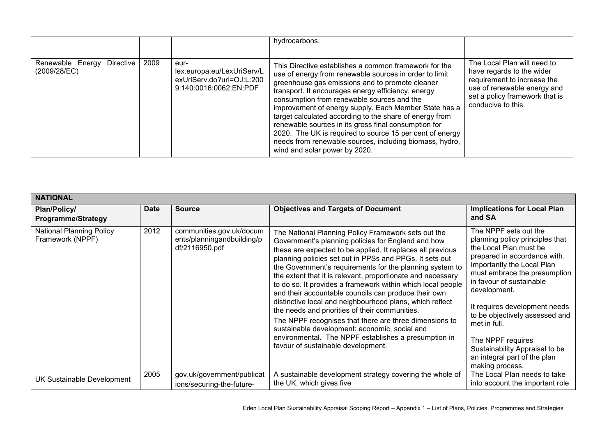|                                               |      |                                                                                           | hydrocarbons.                                                                                                                                                                                                                                                                                                                                                                                                                                                                                                                                                                                              |                                                                                                                                                                                |
|-----------------------------------------------|------|-------------------------------------------------------------------------------------------|------------------------------------------------------------------------------------------------------------------------------------------------------------------------------------------------------------------------------------------------------------------------------------------------------------------------------------------------------------------------------------------------------------------------------------------------------------------------------------------------------------------------------------------------------------------------------------------------------------|--------------------------------------------------------------------------------------------------------------------------------------------------------------------------------|
| Renewable Energy<br>Directive<br>(2009/28/EC) | 2009 | eur-<br>lex.europa.eu/LexUriServ/L<br>exUriServ.do?uri=OJ:L:200<br>9:140:0016:0062:EN:PDF | This Directive establishes a common framework for the<br>use of energy from renewable sources in order to limit<br>greenhouse gas emissions and to promote cleaner<br>transport. It encourages energy efficiency, energy<br>consumption from renewable sources and the<br>improvement of energy supply. Each Member State has a<br>target calculated according to the share of energy from<br>renewable sources in its gross final consumption for<br>2020. The UK is required to source 15 per cent of energy<br>needs from renewable sources, including biomass, hydro,<br>wind and solar power by 2020. | The Local Plan will need to<br>have regards to the wider<br>requirement to increase the<br>use of renewable energy and<br>set a policy framework that is<br>conducive to this. |

| <b>NATIONAL</b>                                     |             |                                                                          |                                                                                                                                                                                                                                                                                                                                                                                                                                                                                                                                                                                                                                                                                                                                                                                                             |                                                                                                                                                                                                                                                                                                                                                                                                                           |
|-----------------------------------------------------|-------------|--------------------------------------------------------------------------|-------------------------------------------------------------------------------------------------------------------------------------------------------------------------------------------------------------------------------------------------------------------------------------------------------------------------------------------------------------------------------------------------------------------------------------------------------------------------------------------------------------------------------------------------------------------------------------------------------------------------------------------------------------------------------------------------------------------------------------------------------------------------------------------------------------|---------------------------------------------------------------------------------------------------------------------------------------------------------------------------------------------------------------------------------------------------------------------------------------------------------------------------------------------------------------------------------------------------------------------------|
| Plan/Policy/<br><b>Programme/Strategy</b>           | <b>Date</b> | <b>Source</b>                                                            | <b>Objectives and Targets of Document</b>                                                                                                                                                                                                                                                                                                                                                                                                                                                                                                                                                                                                                                                                                                                                                                   | <b>Implications for Local Plan</b><br>and SA                                                                                                                                                                                                                                                                                                                                                                              |
| <b>National Planning Policy</b><br>Framework (NPPF) | 2012        | communities.gov.uk/docum<br>ents/planningandbuilding/p<br>df/2116950.pdf | The National Planning Policy Framework sets out the<br>Government's planning policies for England and how<br>these are expected to be applied. It replaces all previous<br>planning policies set out in PPSs and PPGs. It sets out<br>the Government's requirements for the planning system to<br>the extent that it is relevant, proportionate and necessary<br>to do so. It provides a framework within which local people<br>and their accountable councils can produce their own<br>distinctive local and neighbourhood plans, which reflect<br>the needs and priorities of their communities.<br>The NPPF recognises that there are three dimensions to<br>sustainable development: economic, social and<br>environmental. The NPPF establishes a presumption in<br>favour of sustainable development. | The NPPF sets out the<br>planning policy principles that<br>the Local Plan must be<br>prepared in accordance with.<br>Importantly the Local Plan<br>must embrace the presumption<br>in favour of sustainable<br>development.<br>It requires development needs<br>to be objectively assessed and<br>met in full.<br>The NPPF requires<br>Sustainability Appraisal to be<br>an integral part of the plan<br>making process. |
| <b>UK Sustainable Development</b>                   | 2005        | gov.uk/government/publicat<br>ions/securing-the-future-                  | A sustainable development strategy covering the whole of<br>the UK, which gives five                                                                                                                                                                                                                                                                                                                                                                                                                                                                                                                                                                                                                                                                                                                        | The Local Plan needs to take<br>into account the important role                                                                                                                                                                                                                                                                                                                                                           |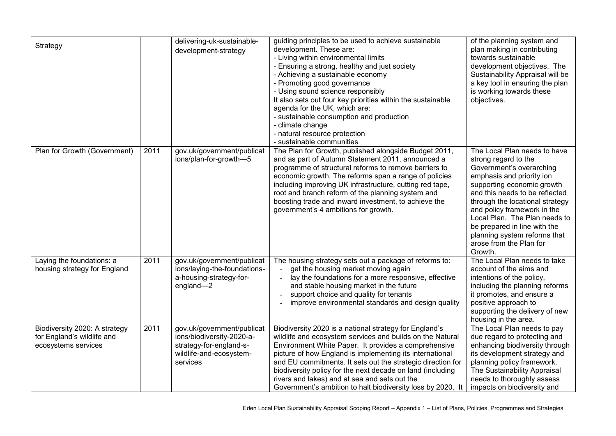| Strategy                                                                           |      | delivering-uk-sustainable-<br>development-strategy                                                                        | guiding principles to be used to achieve sustainable<br>development. These are:<br>- Living within environmental limits<br>- Ensuring a strong, healthy and just society<br>- Achieving a sustainable economy<br>- Promoting good governance<br>- Using sound science responsibly<br>It also sets out four key priorities within the sustainable<br>agenda for the UK, which are:<br>- sustainable consumption and production<br>- climate change<br>- natural resource protection<br>- sustainable communities | of the planning system and<br>plan making in contributing<br>towards sustainable<br>development objectives. The<br>Sustainability Appraisal will be<br>a key tool in ensuring the plan<br>is working towards these<br>objectives.                                                                                                                                                      |
|------------------------------------------------------------------------------------|------|---------------------------------------------------------------------------------------------------------------------------|-----------------------------------------------------------------------------------------------------------------------------------------------------------------------------------------------------------------------------------------------------------------------------------------------------------------------------------------------------------------------------------------------------------------------------------------------------------------------------------------------------------------|----------------------------------------------------------------------------------------------------------------------------------------------------------------------------------------------------------------------------------------------------------------------------------------------------------------------------------------------------------------------------------------|
| Plan for Growth (Government)                                                       | 2011 | gov.uk/government/publicat<br>ions/plan-for-growth-5                                                                      | The Plan for Growth, published alongside Budget 2011,<br>and as part of Autumn Statement 2011, announced a<br>programme of structural reforms to remove barriers to<br>economic growth. The reforms span a range of policies<br>including improving UK infrastructure, cutting red tape,<br>root and branch reform of the planning system and<br>boosting trade and inward investment, to achieve the<br>government's 4 ambitions for growth.                                                                   | The Local Plan needs to have<br>strong regard to the<br>Government's overarching<br>emphasis and priority ion<br>supporting economic growth<br>and this needs to be reflected<br>through the locational strategy<br>and policy framework in the<br>Local Plan. The Plan needs to<br>be prepared in line with the<br>planning system reforms that<br>arose from the Plan for<br>Growth. |
| Laying the foundations: a<br>housing strategy for England                          | 2011 | gov.uk/government/publicat<br>ions/laying-the-foundations-<br>a-housing-strategy-for-<br>england-2                        | The housing strategy sets out a package of reforms to:<br>get the housing market moving again<br>lay the foundations for a more responsive, effective<br>and stable housing market in the future<br>support choice and quality for tenants<br>$\overline{a}$<br>improve environmental standards and design quality                                                                                                                                                                                              | The Local Plan needs to take<br>account of the aims and<br>intentions of the policy,<br>including the planning reforms<br>it promotes, and ensure a<br>positive approach to<br>supporting the delivery of new<br>housing in the area.                                                                                                                                                  |
| Biodiversity 2020: A strategy<br>for England's wildlife and<br>ecosystems services | 2011 | gov.uk/government/publicat<br>ions/biodiversity-2020-a-<br>strategy-for-england-s-<br>wildlife-and-ecosystem-<br>services | Biodiversity 2020 is a national strategy for England's<br>wildlife and ecosystem services and builds on the Natural<br>Environment White Paper. It provides a comprehensive<br>picture of how England is implementing its international<br>and EU commitments. It sets out the strategic direction for<br>biodiversity policy for the next decade on land (including<br>rivers and lakes) and at sea and sets out the<br>Government's ambition to halt biodiversity loss by 2020. It                            | The Local Plan needs to pay<br>due regard to protecting and<br>enhancing biodiversity through<br>its development strategy and<br>planning policy framework.<br>The Sustainability Appraisal<br>needs to thoroughly assess<br>impacts on biodiversity and                                                                                                                               |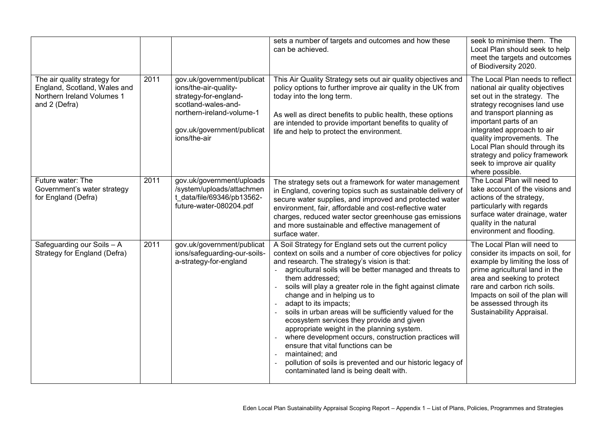|                                                                                                             |      |                                                                                                                                                                                | sets a number of targets and outcomes and how these<br>can be achieved.                                                                                                                                                                                                                                                                                                                                                                                                                                                                                                                                                                                                                                                                                       | seek to minimise them. The<br>Local Plan should seek to help<br>meet the targets and outcomes<br>of Biodiversity 2020.                                                                                                                                                                                                                                                  |
|-------------------------------------------------------------------------------------------------------------|------|--------------------------------------------------------------------------------------------------------------------------------------------------------------------------------|---------------------------------------------------------------------------------------------------------------------------------------------------------------------------------------------------------------------------------------------------------------------------------------------------------------------------------------------------------------------------------------------------------------------------------------------------------------------------------------------------------------------------------------------------------------------------------------------------------------------------------------------------------------------------------------------------------------------------------------------------------------|-------------------------------------------------------------------------------------------------------------------------------------------------------------------------------------------------------------------------------------------------------------------------------------------------------------------------------------------------------------------------|
| The air quality strategy for<br>England, Scotland, Wales and<br>Northern Ireland Volumes 1<br>and 2 (Defra) | 2011 | gov.uk/government/publicat<br>ions/the-air-quality-<br>strategy-for-england-<br>scotland-wales-and-<br>northern-ireland-volume-1<br>gov.uk/government/publicat<br>ions/the-air | This Air Quality Strategy sets out air quality objectives and<br>policy options to further improve air quality in the UK from<br>today into the long term.<br>As well as direct benefits to public health, these options<br>are intended to provide important benefits to quality of<br>life and help to protect the environment.                                                                                                                                                                                                                                                                                                                                                                                                                             | The Local Plan needs to reflect<br>national air quality objectives<br>set out in the strategy. The<br>strategy recognises land use<br>and transport planning as<br>important parts of an<br>integrated approach to air<br>quality improvements. The<br>Local Plan should through its<br>strategy and policy framework<br>seek to improve air quality<br>where possible. |
| Future water: The<br>Government's water strategy<br>for England (Defra)                                     | 2011 | gov.uk/government/uploads<br>/system/uploads/attachmen<br>t data/file/69346/pb13562-<br>future-water-080204.pdf                                                                | The strategy sets out a framework for water management<br>in England, covering topics such as sustainable delivery of<br>secure water supplies, and improved and protected water<br>environment, fair, affordable and cost-reflective water<br>charges, reduced water sector greenhouse gas emissions<br>and more sustainable and effective management of<br>surface water.                                                                                                                                                                                                                                                                                                                                                                                   | The Local Plan will need to<br>take account of the visions and<br>actions of the strategy,<br>particularly with regards<br>surface water drainage, water<br>quality in the natural<br>environment and flooding.                                                                                                                                                         |
| Safeguarding our Soils - A<br>Strategy for England (Defra)                                                  | 2011 | gov.uk/government/publicat<br>ions/safeguarding-our-soils-<br>a-strategy-for-england                                                                                           | A Soil Strategy for England sets out the current policy<br>context on soils and a number of core objectives for policy<br>and research. The strategy's vision is that:<br>agricultural soils will be better managed and threats to<br>them addressed;<br>soils will play a greater role in the fight against climate<br>change and in helping us to<br>adapt to its impacts;<br>soils in urban areas will be sufficiently valued for the<br>ecosystem services they provide and given<br>appropriate weight in the planning system.<br>where development occurs, construction practices will<br>ensure that vital functions can be<br>maintained; and<br>pollution of soils is prevented and our historic legacy of<br>contaminated land is being dealt with. | The Local Plan will need to<br>consider its impacts on soil, for<br>example by limiting the loss of<br>prime agricultural land in the<br>area and seeking to protect<br>rare and carbon rich soils.<br>Impacts on soil of the plan will<br>be assessed through its<br>Sustainability Appraisal.                                                                         |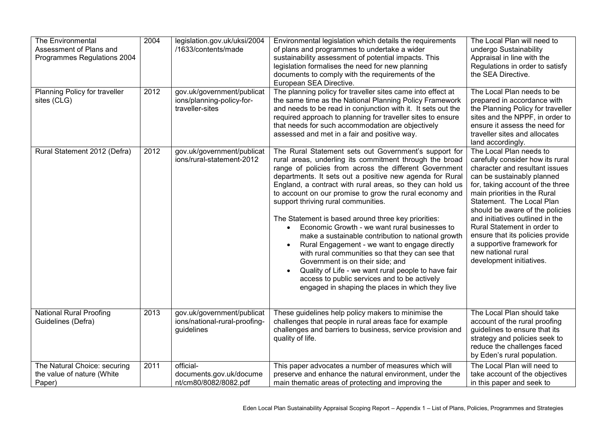| The Environmental<br>Assessment of Plans and<br>Programmes Regulations 2004 | 2004 | legislation.gov.uk/uksi/2004<br>/1633/contents/made                        | Environmental legislation which details the requirements<br>of plans and programmes to undertake a wider<br>sustainability assessment of potential impacts. This<br>legislation formalises the need for new planning<br>documents to comply with the requirements of the<br>European SEA Directive.                                                                                                                                                                                                                                                                                                                                                                                                                                                                                                                                                                     | The Local Plan will need to<br>undergo Sustainability<br>Appraisal in line with the<br>Regulations in order to satisfy<br>the SEA Directive.                                                                                                                                                                                                                                                                                                          |
|-----------------------------------------------------------------------------|------|----------------------------------------------------------------------------|-------------------------------------------------------------------------------------------------------------------------------------------------------------------------------------------------------------------------------------------------------------------------------------------------------------------------------------------------------------------------------------------------------------------------------------------------------------------------------------------------------------------------------------------------------------------------------------------------------------------------------------------------------------------------------------------------------------------------------------------------------------------------------------------------------------------------------------------------------------------------|-------------------------------------------------------------------------------------------------------------------------------------------------------------------------------------------------------------------------------------------------------------------------------------------------------------------------------------------------------------------------------------------------------------------------------------------------------|
| Planning Policy for traveller<br>sites (CLG)                                | 2012 | gov.uk/government/publicat<br>ions/planning-policy-for-<br>traveller-sites | The planning policy for traveller sites came into effect at<br>the same time as the National Planning Policy Framework<br>and needs to be read in conjunction with it. It sets out the<br>required approach to planning for traveller sites to ensure<br>that needs for such accommodation are objectively<br>assessed and met in a fair and positive way.                                                                                                                                                                                                                                                                                                                                                                                                                                                                                                              | The Local Plan needs to be<br>prepared in accordance with<br>the Planning Policy for traveller<br>sites and the NPPF, in order to<br>ensure it assess the need for<br>traveller sites and allocates<br>land accordingly.                                                                                                                                                                                                                              |
| Rural Statement 2012 (Defra)                                                | 2012 | gov.uk/government/publicat<br>ions/rural-statement-2012                    | The Rural Statement sets out Government's support for<br>rural areas, underling its commitment through the broad<br>range of policies from across the different Government<br>departments. It sets out a positive new agenda for Rural<br>England, a contract with rural areas, so they can hold us<br>to account on our promise to grow the rural economy and<br>support thriving rural communities.<br>The Statement is based around three key priorities:<br>Economic Growth - we want rural businesses to<br>make a sustainable contribution to national growth<br>Rural Engagement - we want to engage directly<br>with rural communities so that they can see that<br>Government is on their side; and<br>Quality of Life - we want rural people to have fair<br>access to public services and to be actively<br>engaged in shaping the places in which they live | The Local Plan needs to<br>carefully consider how its rural<br>character and resultant issues<br>can be sustainably planned<br>for, taking account of the three<br>main priorities in the Rural<br>Statement. The Local Plan<br>should be aware of the policies<br>and initiatives outlined in the<br>Rural Statement in order to<br>ensure that its policies provide<br>a supportive framework for<br>new national rural<br>development initiatives. |
| <b>National Rural Proofing</b><br>Guidelines (Defra)                        | 2013 | gov.uk/government/publicat<br>ions/national-rural-proofing-<br>guidelines  | These guidelines help policy makers to minimise the<br>challenges that people in rural areas face for example<br>challenges and barriers to business, service provision and<br>quality of life.                                                                                                                                                                                                                                                                                                                                                                                                                                                                                                                                                                                                                                                                         | The Local Plan should take<br>account of the rural proofing<br>guidelines to ensure that its<br>strategy and policies seek to<br>reduce the challenges faced<br>by Eden's rural population.                                                                                                                                                                                                                                                           |
| The Natural Choice: securing<br>the value of nature (White<br>Paper)        | 2011 | official-<br>documents.gov.uk/docume<br>nt/cm80/8082/8082.pdf              | This paper advocates a number of measures which will<br>preserve and enhance the natural environment, under the<br>main thematic areas of protecting and improving the                                                                                                                                                                                                                                                                                                                                                                                                                                                                                                                                                                                                                                                                                                  | The Local Plan will need to<br>take account of the objectives<br>in this paper and seek to                                                                                                                                                                                                                                                                                                                                                            |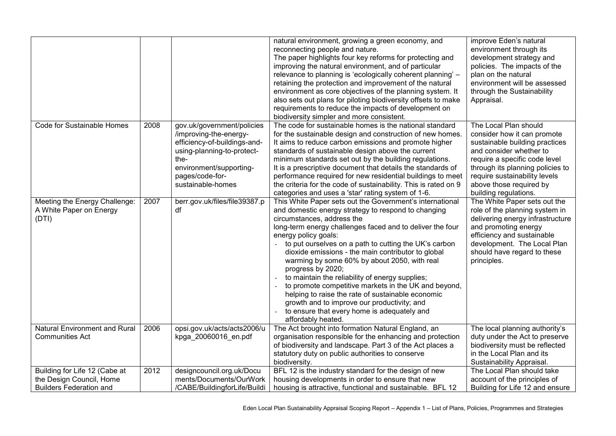|                                                                                             |      |                                                                                                                                                                                               | natural environment, growing a green economy, and<br>reconnecting people and nature.<br>The paper highlights four key reforms for protecting and<br>improving the natural environment, and of particular<br>relevance to planning is 'ecologically coherent planning' -<br>retaining the protection and improvement of the natural<br>environment as core objectives of the planning system. It<br>also sets out plans for piloting biodiversity offsets to make<br>requirements to reduce the impacts of development on<br>biodiversity simpler and more consistent.                                                                                                                                      | improve Eden's natural<br>environment through its<br>development strategy and<br>policies. The impacts of the<br>plan on the natural<br>environment will be assessed<br>through the Sustainability<br>Appraisal.                                                            |
|---------------------------------------------------------------------------------------------|------|-----------------------------------------------------------------------------------------------------------------------------------------------------------------------------------------------|------------------------------------------------------------------------------------------------------------------------------------------------------------------------------------------------------------------------------------------------------------------------------------------------------------------------------------------------------------------------------------------------------------------------------------------------------------------------------------------------------------------------------------------------------------------------------------------------------------------------------------------------------------------------------------------------------------|-----------------------------------------------------------------------------------------------------------------------------------------------------------------------------------------------------------------------------------------------------------------------------|
| <b>Code for Sustainable Homes</b>                                                           | 2008 | gov.uk/government/policies<br>/improving-the-energy-<br>efficiency-of-buildings-and-<br>using-planning-to-protect-<br>the-<br>environment/supporting-<br>pages/code-for-<br>sustainable-homes | The code for sustainable homes is the national standard<br>for the sustainable design and construction of new homes.<br>It aims to reduce carbon emissions and promote higher<br>standards of sustainable design above the current<br>minimum standards set out by the building regulations.<br>It is a prescriptive document that details the standards of<br>performance required for new residential buildings to meet<br>the criteria for the code of sustainability. This is rated on 9<br>categories and uses a 'star' rating system of 1-6.                                                                                                                                                         | The Local Plan should<br>consider how it can promote<br>sustainable building practices<br>and consider whether to<br>require a specific code level<br>through its planning policies to<br>require sustainability levels<br>above those required by<br>building regulations. |
| Meeting the Energy Challenge:<br>A White Paper on Energy<br>(DTI)                           | 2007 | berr.gov.uk/files/file39387.p<br>df                                                                                                                                                           | This White Paper sets out the Government's international<br>and domestic energy strategy to respond to changing<br>circumstances, address the<br>long-term energy challenges faced and to deliver the four<br>energy policy goals:<br>to put ourselves on a path to cutting the UK's carbon<br>dioxide emissions - the main contributor to global<br>warming by some 60% by about 2050, with real<br>progress by 2020;<br>to maintain the reliability of energy supplies;<br>to promote competitive markets in the UK and beyond,<br>helping to raise the rate of sustainable economic<br>growth and to improve our productivity; and<br>to ensure that every home is adequately and<br>affordably heated. | The White Paper sets out the<br>role of the planning system in<br>delivering energy infrastructure<br>and promoting energy<br>efficiency and sustainable<br>development. The Local Plan<br>should have regard to these<br>principles.                                       |
| Natural Environment and Rural<br><b>Communities Act</b>                                     | 2006 | opsi.gov.uk/acts/acts2006/u<br>kpga_20060016_en.pdf                                                                                                                                           | The Act brought into formation Natural England, an<br>organisation responsible for the enhancing and protection<br>of biodiversity and landscape. Part 3 of the Act places a<br>statutory duty on public authorities to conserve<br>biodiversity.                                                                                                                                                                                                                                                                                                                                                                                                                                                          | The local planning authority's<br>duty under the Act to preserve<br>biodiversity must be reflected<br>in the Local Plan and its<br>Sustainability Appraisal.                                                                                                                |
| Building for Life 12 (Cabe at<br>the Design Council, Home<br><b>Builders Federation and</b> | 2012 | designcouncil.org.uk/Docu<br>ments/Documents/OurWork<br>/CABE/BuildingforLife/Buildi                                                                                                          | BFL 12 is the industry standard for the design of new<br>housing developments in order to ensure that new<br>housing is attractive, functional and sustainable. BFL 12                                                                                                                                                                                                                                                                                                                                                                                                                                                                                                                                     | The Local Plan should take<br>account of the principles of<br>Building for Life 12 and ensure                                                                                                                                                                               |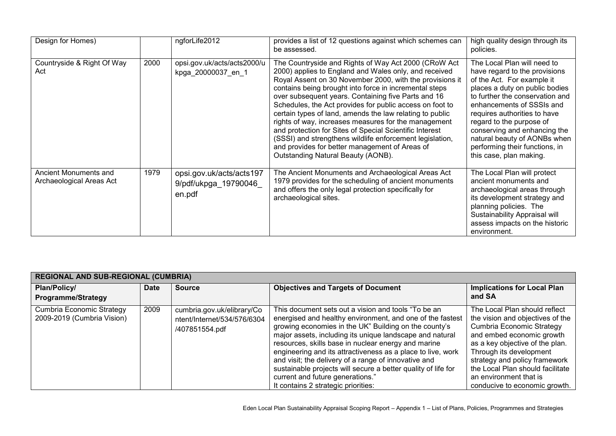| Design for Homes)                                 |      | ngforLife2012                                               | provides a list of 12 questions against which schemes can<br>be assessed.                                                                                                                                                                                                                                                                                                                                                                                                                                                                                                                                                                                                                 | high quality design through its<br>policies.                                                                                                                                                                                                                                                                                                                                          |
|---------------------------------------------------|------|-------------------------------------------------------------|-------------------------------------------------------------------------------------------------------------------------------------------------------------------------------------------------------------------------------------------------------------------------------------------------------------------------------------------------------------------------------------------------------------------------------------------------------------------------------------------------------------------------------------------------------------------------------------------------------------------------------------------------------------------------------------------|---------------------------------------------------------------------------------------------------------------------------------------------------------------------------------------------------------------------------------------------------------------------------------------------------------------------------------------------------------------------------------------|
| Countryside & Right Of Way<br>Act                 | 2000 | opsi.gov.uk/acts/acts2000/u<br>kpga 20000037 en 1           | The Countryside and Rights of Way Act 2000 (CRoW Act<br>2000) applies to England and Wales only, and received<br>Royal Assent on 30 November 2000, with the provisions it<br>contains being brought into force in incremental steps<br>over subsequent years. Containing five Parts and 16<br>Schedules, the Act provides for public access on foot to<br>certain types of land, amends the law relating to public<br>rights of way, increases measures for the management<br>and protection for Sites of Special Scientific Interest<br>(SSSI) and strengthens wildlife enforcement legislation,<br>and provides for better management of Areas of<br>Outstanding Natural Beauty (AONB). | The Local Plan will need to<br>have regard to the provisions<br>of the Act. For example it<br>places a duty on public bodies<br>to further the conservation and<br>enhancements of SSSIs and<br>requires authorities to have<br>regard to the purpose of<br>conserving and enhancing the<br>natural beauty of AONBs when<br>performing their functions, in<br>this case, plan making. |
| Ancient Monuments and<br>Archaeological Areas Act | 1979 | opsi.gov.uk/acts/acts197<br>9/pdf/ukpga_19790046_<br>en.pdf | The Ancient Monuments and Archaeological Areas Act<br>1979 provides for the scheduling of ancient monuments<br>and offers the only legal protection specifically for<br>archaeological sites.                                                                                                                                                                                                                                                                                                                                                                                                                                                                                             | The Local Plan will protect<br>ancient monuments and<br>archaeological areas through<br>its development strategy and<br>planning policies. The<br>Sustainability Appraisal will<br>assess impacts on the historic<br>environment.                                                                                                                                                     |

| <b>REGIONAL AND SUB-REGIONAL (CUMBRIA)</b>              |             |                                                                             |                                                                                                                                                                                                                                                                                                                                                                                                                                                                                                                                                                 |                                                                                                                                                                                                                                                                                                                           |
|---------------------------------------------------------|-------------|-----------------------------------------------------------------------------|-----------------------------------------------------------------------------------------------------------------------------------------------------------------------------------------------------------------------------------------------------------------------------------------------------------------------------------------------------------------------------------------------------------------------------------------------------------------------------------------------------------------------------------------------------------------|---------------------------------------------------------------------------------------------------------------------------------------------------------------------------------------------------------------------------------------------------------------------------------------------------------------------------|
| Plan/Policy/<br><b>Programme/Strategy</b>               | <b>Date</b> | <b>Source</b>                                                               | <b>Objectives and Targets of Document</b>                                                                                                                                                                                                                                                                                                                                                                                                                                                                                                                       | <b>Implications for Local Plan</b><br>and SA                                                                                                                                                                                                                                                                              |
| Cumbria Economic Strategy<br>2009-2019 (Cumbria Vision) | 2009        | cumbria.gov.uk/elibrary/Co<br>ntent/Internet/534/576/6304<br>/407851554.pdf | This document sets out a vision and tools "To be an<br>energised and healthy environment, and one of the fastest<br>growing economies in the UK" Building on the county's<br>major assets, including its unique landscape and natural<br>resources, skills base in nuclear energy and marine<br>engineering and its attractiveness as a place to live, work<br>and visit; the delivery of a range of innovative and<br>sustainable projects will secure a better quality of life for<br>current and future generations."<br>It contains 2 strategic priorities: | The Local Plan should reflect<br>the vision and objectives of the<br>Cumbria Economic Strategy<br>and embed economic growth<br>as a key objective of the plan.<br>Through its development<br>strategy and policy framework<br>the Local Plan should facilitate<br>an environment that is<br>conducive to economic growth. |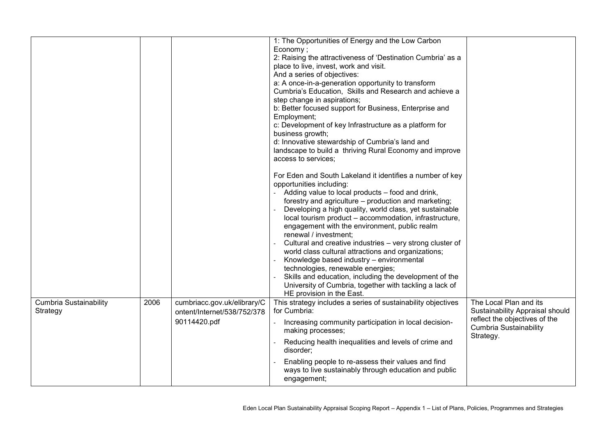|                                    |      |                                                                            | 1: The Opportunities of Energy and the Low Carbon<br>Economy;<br>2: Raising the attractiveness of 'Destination Cumbria' as a<br>place to live, invest, work and visit.<br>And a series of objectives:<br>a: A once-in-a-generation opportunity to transform<br>Cumbria's Education, Skills and Research and achieve a<br>step change in aspirations;<br>b: Better focused support for Business, Enterprise and<br>Employment;<br>c: Development of key Infrastructure as a platform for<br>business growth;<br>d: Innovative stewardship of Cumbria's land and<br>landscape to build a thriving Rural Economy and improve<br>access to services;<br>For Eden and South Lakeland it identifies a number of key<br>opportunities including:<br>Adding value to local products – food and drink,<br>forestry and agriculture – production and marketing;<br>Developing a high quality, world class, yet sustainable<br>local tourism product - accommodation, infrastructure,<br>engagement with the environment, public realm<br>renewal / investment;<br>Cultural and creative industries - very strong cluster of<br>world class cultural attractions and organizations;<br>Knowledge based industry - environmental<br>technologies, renewable energies;<br>Skills and education, including the development of the<br>University of Cumbria, together with tackling a lack of<br>HE provision in the East. |                                                                                                                                          |
|------------------------------------|------|----------------------------------------------------------------------------|-------------------------------------------------------------------------------------------------------------------------------------------------------------------------------------------------------------------------------------------------------------------------------------------------------------------------------------------------------------------------------------------------------------------------------------------------------------------------------------------------------------------------------------------------------------------------------------------------------------------------------------------------------------------------------------------------------------------------------------------------------------------------------------------------------------------------------------------------------------------------------------------------------------------------------------------------------------------------------------------------------------------------------------------------------------------------------------------------------------------------------------------------------------------------------------------------------------------------------------------------------------------------------------------------------------------------------------------------------------------------------------------------------------|------------------------------------------------------------------------------------------------------------------------------------------|
| Cumbria Sustainability<br>Strategy | 2006 | cumbriacc.gov.uk/elibrary/C<br>ontent/Internet/538/752/378<br>90114420.pdf | This strategy includes a series of sustainability objectives<br>for Cumbria:<br>Increasing community participation in local decision-<br>making processes;<br>Reducing health inequalities and levels of crime and<br>disorder;<br>Enabling people to re-assess their values and find<br>ways to live sustainably through education and public<br>engagement;                                                                                                                                                                                                                                                                                                                                                                                                                                                                                                                                                                                                                                                                                                                                                                                                                                                                                                                                                                                                                                               | The Local Plan and its<br>Sustainability Appraisal should<br>reflect the objectives of the<br><b>Cumbria Sustainability</b><br>Strategy. |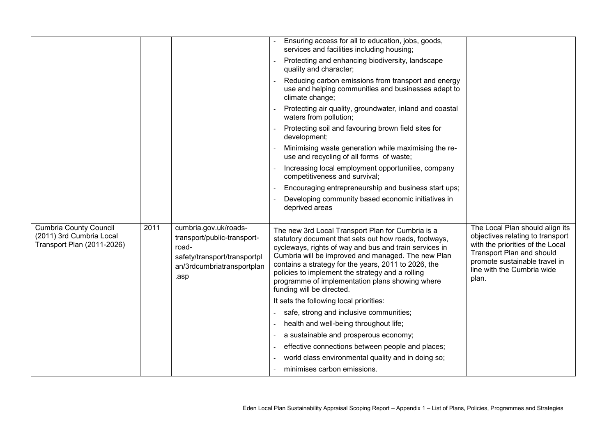|                                                                                         |      |                                                                                                                                     | Ensuring access for all to education, jobs, goods,<br>services and facilities including housing;                                                                                                                                                                                                                                                                                                                       |                                                                                                                                                                                                              |
|-----------------------------------------------------------------------------------------|------|-------------------------------------------------------------------------------------------------------------------------------------|------------------------------------------------------------------------------------------------------------------------------------------------------------------------------------------------------------------------------------------------------------------------------------------------------------------------------------------------------------------------------------------------------------------------|--------------------------------------------------------------------------------------------------------------------------------------------------------------------------------------------------------------|
|                                                                                         |      |                                                                                                                                     | Protecting and enhancing biodiversity, landscape<br>quality and character;                                                                                                                                                                                                                                                                                                                                             |                                                                                                                                                                                                              |
|                                                                                         |      |                                                                                                                                     | Reducing carbon emissions from transport and energy<br>use and helping communities and businesses adapt to<br>climate change;                                                                                                                                                                                                                                                                                          |                                                                                                                                                                                                              |
|                                                                                         |      |                                                                                                                                     | Protecting air quality, groundwater, inland and coastal<br>waters from pollution;                                                                                                                                                                                                                                                                                                                                      |                                                                                                                                                                                                              |
|                                                                                         |      |                                                                                                                                     | Protecting soil and favouring brown field sites for<br>development;                                                                                                                                                                                                                                                                                                                                                    |                                                                                                                                                                                                              |
|                                                                                         |      |                                                                                                                                     | Minimising waste generation while maximising the re-<br>use and recycling of all forms of waste;                                                                                                                                                                                                                                                                                                                       |                                                                                                                                                                                                              |
|                                                                                         |      |                                                                                                                                     | Increasing local employment opportunities, company<br>competitiveness and survival;                                                                                                                                                                                                                                                                                                                                    |                                                                                                                                                                                                              |
|                                                                                         |      |                                                                                                                                     | Encouraging entrepreneurship and business start ups;                                                                                                                                                                                                                                                                                                                                                                   |                                                                                                                                                                                                              |
|                                                                                         |      |                                                                                                                                     | Developing community based economic initiatives in<br>deprived areas                                                                                                                                                                                                                                                                                                                                                   |                                                                                                                                                                                                              |
|                                                                                         |      |                                                                                                                                     |                                                                                                                                                                                                                                                                                                                                                                                                                        |                                                                                                                                                                                                              |
| <b>Cumbria County Council</b><br>(2011) 3rd Cumbria Local<br>Transport Plan (2011-2026) | 2011 | cumbria.gov.uk/roads-<br>transport/public-transport-<br>road-<br>safety/transport/transportpl<br>an/3rdcumbriatransportplan<br>.asp | The new 3rd Local Transport Plan for Cumbria is a<br>statutory document that sets out how roads, footways,<br>cycleways, rights of way and bus and train services in<br>Cumbria will be improved and managed. The new Plan<br>contains a strategy for the years, 2011 to 2026, the<br>policies to implement the strategy and a rolling<br>programme of implementation plans showing where<br>funding will be directed. | The Local Plan should align its<br>objectives relating to transport<br>with the priorities of the Local<br>Transport Plan and should<br>promote sustainable travel in<br>line with the Cumbria wide<br>plan. |
|                                                                                         |      |                                                                                                                                     | It sets the following local priorities:                                                                                                                                                                                                                                                                                                                                                                                |                                                                                                                                                                                                              |
|                                                                                         |      |                                                                                                                                     | safe, strong and inclusive communities;                                                                                                                                                                                                                                                                                                                                                                                |                                                                                                                                                                                                              |
|                                                                                         |      |                                                                                                                                     | health and well-being throughout life;                                                                                                                                                                                                                                                                                                                                                                                 |                                                                                                                                                                                                              |
|                                                                                         |      |                                                                                                                                     | a sustainable and prosperous economy;                                                                                                                                                                                                                                                                                                                                                                                  |                                                                                                                                                                                                              |
|                                                                                         |      |                                                                                                                                     | effective connections between people and places;                                                                                                                                                                                                                                                                                                                                                                       |                                                                                                                                                                                                              |
|                                                                                         |      |                                                                                                                                     | world class environmental quality and in doing so;                                                                                                                                                                                                                                                                                                                                                                     |                                                                                                                                                                                                              |
|                                                                                         |      |                                                                                                                                     | minimises carbon emissions.                                                                                                                                                                                                                                                                                                                                                                                            |                                                                                                                                                                                                              |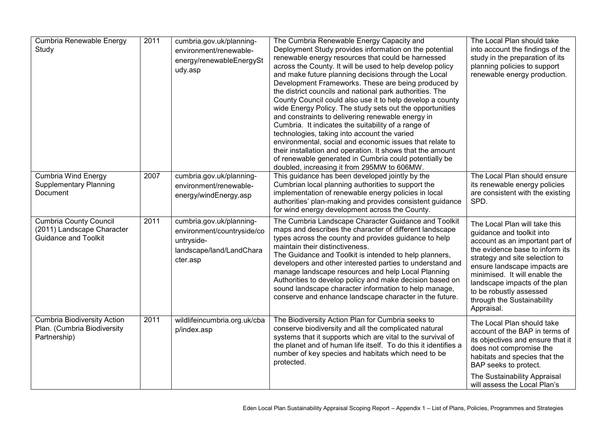| Cumbria Renewable Energy<br>Study                                                          | 2011 | cumbria.gov.uk/planning-<br>environment/renewable-<br>energy/renewableEnergySt<br>udy.asp                    | The Cumbria Renewable Energy Capacity and<br>Deployment Study provides information on the potential<br>renewable energy resources that could be harnessed<br>across the County. It will be used to help develop policy<br>and make future planning decisions through the Local<br>Development Frameworks. These are being produced by<br>the district councils and national park authorities. The<br>County Council could also use it to help develop a county<br>wide Energy Policy. The study sets out the opportunities<br>and constraints to delivering renewable energy in<br>Cumbria. It indicates the suitability of a range of<br>technologies, taking into account the varied<br>environmental, social and economic issues that relate to<br>their installation and operation. It shows that the amount<br>of renewable generated in Cumbria could potentially be<br>doubled, increasing it from 295MW to 606MW. | The Local Plan should take<br>into account the findings of the<br>study in the preparation of its<br>planning policies to support<br>renewable energy production.                                                                                                                                                                           |
|--------------------------------------------------------------------------------------------|------|--------------------------------------------------------------------------------------------------------------|---------------------------------------------------------------------------------------------------------------------------------------------------------------------------------------------------------------------------------------------------------------------------------------------------------------------------------------------------------------------------------------------------------------------------------------------------------------------------------------------------------------------------------------------------------------------------------------------------------------------------------------------------------------------------------------------------------------------------------------------------------------------------------------------------------------------------------------------------------------------------------------------------------------------------|---------------------------------------------------------------------------------------------------------------------------------------------------------------------------------------------------------------------------------------------------------------------------------------------------------------------------------------------|
| <b>Cumbria Wind Energy</b><br><b>Supplementary Planning</b><br>Document                    | 2007 | cumbria.gov.uk/planning-<br>environment/renewable-<br>energy/windEnergy.asp                                  | This guidance has been developed jointly by the<br>Cumbrian local planning authorities to support the<br>implementation of renewable energy policies in local<br>authorities' plan-making and provides consistent guidance<br>for wind energy development across the County.                                                                                                                                                                                                                                                                                                                                                                                                                                                                                                                                                                                                                                              | The Local Plan should ensure<br>its renewable energy policies<br>are consistent with the existing<br>SPD.                                                                                                                                                                                                                                   |
| <b>Cumbria County Council</b><br>(2011) Landscape Character<br><b>Guidance and Toolkit</b> | 2011 | cumbria.gov.uk/planning-<br>environment/countryside/co<br>untryside-<br>landscape/land/LandChara<br>cter.asp | The Cumbria Landscape Character Guidance and Toolkit<br>maps and describes the character of different landscape<br>types across the county and provides guidance to help<br>maintain their distinctiveness.<br>The Guidance and Toolkit is intended to help planners,<br>developers and other interested parties to understand and<br>manage landscape resources and help Local Planning<br>Authorities to develop policy and make decision based on<br>sound landscape character information to help manage,<br>conserve and enhance landscape character in the future.                                                                                                                                                                                                                                                                                                                                                  | The Local Plan will take this<br>guidance and toolkit into<br>account as an important part of<br>the evidence base to inform its<br>strategy and site selection to<br>ensure landscape impacts are<br>minimised. It will enable the<br>landscape impacts of the plan<br>to be robustly assessed<br>through the Sustainability<br>Appraisal. |
| <b>Cumbria Biodiversity Action</b><br>Plan. (Cumbria Biodiversity<br>Partnership)          | 2011 | wildlifeincumbria.org.uk/cba<br>p/index.asp                                                                  | The Biodiversity Action Plan for Cumbria seeks to<br>conserve biodiversity and all the complicated natural<br>systems that it supports which are vital to the survival of<br>the planet and of human life itself. To do this it identifies a<br>number of key species and habitats which need to be<br>protected.                                                                                                                                                                                                                                                                                                                                                                                                                                                                                                                                                                                                         | The Local Plan should take<br>account of the BAP in terms of<br>its objectives and ensure that it<br>does not compromise the<br>habitats and species that the<br>BAP seeks to protect.<br>The Sustainability Appraisal<br>will assess the Local Plan's                                                                                      |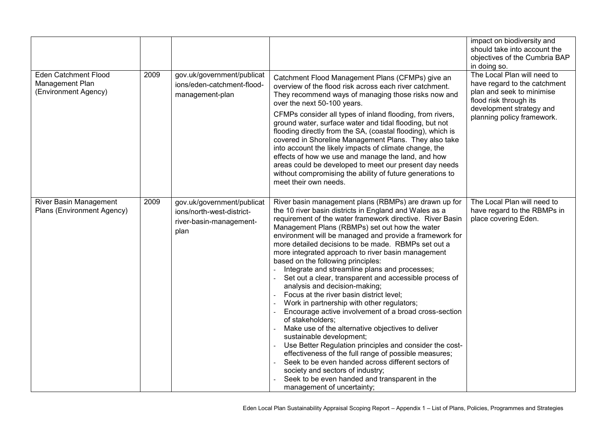|                                                                        |      |                                                                                            |                                                                                                                                                                                                                                                                                                                                                                                                                                                                                                                                                                                                                                                                                                                                                                                                                                                                                                                                                                                                                                                                                                                                               | impact on biodiversity and<br>should take into account the<br>objectives of the Cumbria BAP<br>in doing so.                                                                  |
|------------------------------------------------------------------------|------|--------------------------------------------------------------------------------------------|-----------------------------------------------------------------------------------------------------------------------------------------------------------------------------------------------------------------------------------------------------------------------------------------------------------------------------------------------------------------------------------------------------------------------------------------------------------------------------------------------------------------------------------------------------------------------------------------------------------------------------------------------------------------------------------------------------------------------------------------------------------------------------------------------------------------------------------------------------------------------------------------------------------------------------------------------------------------------------------------------------------------------------------------------------------------------------------------------------------------------------------------------|------------------------------------------------------------------------------------------------------------------------------------------------------------------------------|
| <b>Eden Catchment Flood</b><br>Management Plan<br>(Environment Agency) | 2009 | gov.uk/government/publicat<br>ions/eden-catchment-flood-<br>management-plan                | Catchment Flood Management Plans (CFMPs) give an<br>overview of the flood risk across each river catchment.<br>They recommend ways of managing those risks now and<br>over the next 50-100 years.<br>CFMPs consider all types of inland flooding, from rivers,<br>ground water, surface water and tidal flooding, but not<br>flooding directly from the SA, (coastal flooding), which is<br>covered in Shoreline Management Plans. They also take<br>into account the likely impacts of climate change, the<br>effects of how we use and manage the land, and how<br>areas could be developed to meet our present day needs<br>without compromising the ability of future generations to<br>meet their own needs.                                                                                                                                                                                                                                                                                                                                                                                                                             | The Local Plan will need to<br>have regard to the catchment<br>plan and seek to minimise<br>flood risk through its<br>development strategy and<br>planning policy framework. |
| River Basin Management<br>Plans (Environment Agency)                   | 2009 | gov.uk/government/publicat<br>ions/north-west-district-<br>river-basin-management-<br>plan | River basin management plans (RBMPs) are drawn up for<br>the 10 river basin districts in England and Wales as a<br>requirement of the water framework directive. River Basin<br>Management Plans (RBMPs) set out how the water<br>environment will be managed and provide a framework for<br>more detailed decisions to be made. RBMPs set out a<br>more integrated approach to river basin management<br>based on the following principles:<br>Integrate and streamline plans and processes;<br>Set out a clear, transparent and accessible process of<br>analysis and decision-making;<br>Focus at the river basin district level;<br>Work in partnership with other regulators;<br>Encourage active involvement of a broad cross-section<br>of stakeholders:<br>Make use of the alternative objectives to deliver<br>sustainable development;<br>Use Better Regulation principles and consider the cost-<br>effectiveness of the full range of possible measures;<br>Seek to be even handed across different sectors of<br>society and sectors of industry;<br>Seek to be even handed and transparent in the<br>management of uncertainty; | The Local Plan will need to<br>have regard to the RBMPs in<br>place covering Eden.                                                                                           |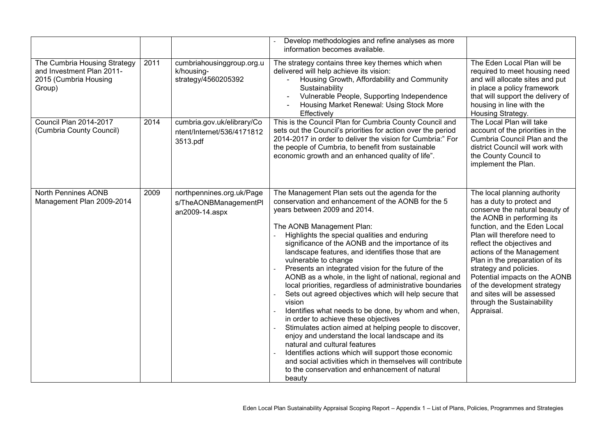|                                                                                              |      |                                                                      | Develop methodologies and refine analyses as more<br>information becomes available.                                                                                                                                                                                                                                                                                                                                                                                                                                                                                                                                                                                                                                                                                                                                                                                                                                                                                                                                                      |                                                                                                                                                                                                                                                                                                                                                                                                                                                           |
|----------------------------------------------------------------------------------------------|------|----------------------------------------------------------------------|------------------------------------------------------------------------------------------------------------------------------------------------------------------------------------------------------------------------------------------------------------------------------------------------------------------------------------------------------------------------------------------------------------------------------------------------------------------------------------------------------------------------------------------------------------------------------------------------------------------------------------------------------------------------------------------------------------------------------------------------------------------------------------------------------------------------------------------------------------------------------------------------------------------------------------------------------------------------------------------------------------------------------------------|-----------------------------------------------------------------------------------------------------------------------------------------------------------------------------------------------------------------------------------------------------------------------------------------------------------------------------------------------------------------------------------------------------------------------------------------------------------|
| The Cumbria Housing Strategy<br>and Investment Plan 2011-<br>2015 (Cumbria Housing<br>Group) | 2011 | cumbriahousinggroup.org.u<br>k/housing-<br>strategy/4560205392       | The strategy contains three key themes which when<br>delivered will help achieve its vision:<br>Housing Growth, Affordability and Community<br>$\blacksquare$<br>Sustainability<br>Vulnerable People, Supporting Independence<br>Housing Market Renewal: Using Stock More<br>Effectively                                                                                                                                                                                                                                                                                                                                                                                                                                                                                                                                                                                                                                                                                                                                                 | The Eden Local Plan will be<br>required to meet housing need<br>and will allocate sites and put<br>in place a policy framework<br>that will support the delivery of<br>housing in line with the<br>Housing Strategy.                                                                                                                                                                                                                                      |
| Council Plan 2014-2017<br>(Cumbria County Council)                                           | 2014 | cumbria.gov.uk/elibrary/Co<br>ntent/Internet/536/4171812<br>3513.pdf | This is the Council Plan for Cumbria County Council and<br>sets out the Council's priorities for action over the period<br>2014-2017 in order to deliver the vision for Cumbria:" For<br>the people of Cumbria, to benefit from sustainable<br>economic growth and an enhanced quality of life".                                                                                                                                                                                                                                                                                                                                                                                                                                                                                                                                                                                                                                                                                                                                         | The Local Plan will take<br>account of the priorities in the<br>Cumbria Council Plan and the<br>district Council will work with<br>the County Council to<br>implement the Plan.                                                                                                                                                                                                                                                                           |
| <b>North Pennines AONB</b><br>Management Plan 2009-2014                                      | 2009 | northpennines.org.uk/Page<br>s/TheAONBManagementPl<br>an2009-14.aspx | The Management Plan sets out the agenda for the<br>conservation and enhancement of the AONB for the 5<br>years between 2009 and 2014.<br>The AONB Management Plan:<br>Highlights the special qualities and enduring<br>significance of the AONB and the importance of its<br>landscape features, and identifies those that are<br>vulnerable to change<br>Presents an integrated vision for the future of the<br>AONB as a whole, in the light of national, regional and<br>local priorities, regardless of administrative boundaries<br>Sets out agreed objectives which will help secure that<br>vision<br>Identifies what needs to be done, by whom and when,<br>in order to achieve these objectives<br>Stimulates action aimed at helping people to discover,<br>enjoy and understand the local landscape and its<br>natural and cultural features<br>Identifies actions which will support those economic<br>and social activities which in themselves will contribute<br>to the conservation and enhancement of natural<br>beauty | The local planning authority<br>has a duty to protect and<br>conserve the natural beauty of<br>the AONB in performing its<br>function, and the Eden Local<br>Plan will therefore need to<br>reflect the objectives and<br>actions of the Management<br>Plan in the preparation of its<br>strategy and policies.<br>Potential impacts on the AONB<br>of the development strategy<br>and sites will be assessed<br>through the Sustainability<br>Appraisal. |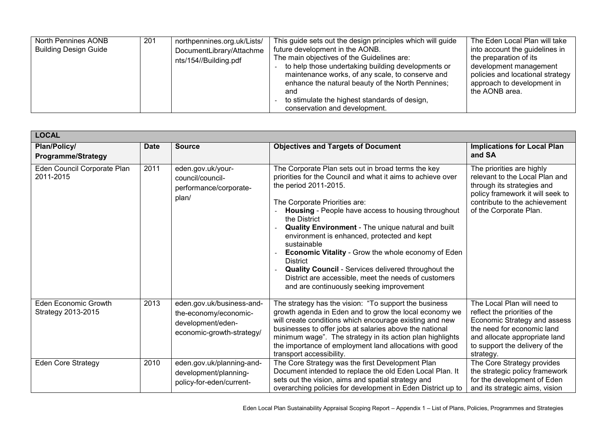| North Pennines AONB<br><b>Building Design Guide</b> | 201 | northpennines.org.uk/Lists/<br>DocumentLibrary/Attachme<br>nts/154//Building.pdf | This guide sets out the design principles which will guide<br>future development in the AONB.<br>The main objectives of the Guidelines are:<br>to help those undertaking building developments or<br>maintenance works, of any scale, to conserve and<br>enhance the natural beauty of the North Pennines;<br>and<br>to stimulate the highest standards of design,<br>conservation and development. | The Eden Local Plan will take<br>into account the guidelines in<br>the preparation of its<br>development management<br>policies and locational strategy<br>approach to development in<br>the AONB area. |
|-----------------------------------------------------|-----|----------------------------------------------------------------------------------|-----------------------------------------------------------------------------------------------------------------------------------------------------------------------------------------------------------------------------------------------------------------------------------------------------------------------------------------------------------------------------------------------------|---------------------------------------------------------------------------------------------------------------------------------------------------------------------------------------------------------|
|-----------------------------------------------------|-----|----------------------------------------------------------------------------------|-----------------------------------------------------------------------------------------------------------------------------------------------------------------------------------------------------------------------------------------------------------------------------------------------------------------------------------------------------------------------------------------------------|---------------------------------------------------------------------------------------------------------------------------------------------------------------------------------------------------------|

| <b>LOCAL</b>                                      |             |                                                                                                      |                                                                                                                                                                                                                                                                                                                                                                                                                                                                                                                                                                                                           |                                                                                                                                                                                                            |
|---------------------------------------------------|-------------|------------------------------------------------------------------------------------------------------|-----------------------------------------------------------------------------------------------------------------------------------------------------------------------------------------------------------------------------------------------------------------------------------------------------------------------------------------------------------------------------------------------------------------------------------------------------------------------------------------------------------------------------------------------------------------------------------------------------------|------------------------------------------------------------------------------------------------------------------------------------------------------------------------------------------------------------|
| Plan/Policy/<br><b>Programme/Strategy</b>         | <b>Date</b> | <b>Source</b>                                                                                        | <b>Objectives and Targets of Document</b>                                                                                                                                                                                                                                                                                                                                                                                                                                                                                                                                                                 | <b>Implications for Local Plan</b><br>and SA                                                                                                                                                               |
| Eden Council Corporate Plan<br>2011-2015          | 2011        | eden.gov.uk/your-<br>council/council-<br>performance/corporate-<br>plan/                             | The Corporate Plan sets out in broad terms the key<br>priorities for the Council and what it aims to achieve over<br>the period 2011-2015.<br>The Corporate Priorities are:<br>Housing - People have access to housing throughout<br>the District<br>Quality Environment - The unique natural and built<br>environment is enhanced, protected and kept<br>sustainable<br>Economic Vitality - Grow the whole economy of Eden<br><b>District</b><br>Quality Council - Services delivered throughout the<br>District are accessible, meet the needs of customers<br>and are continuously seeking improvement | The priorities are highly<br>relevant to the Local Plan and<br>through its strategies and<br>policy framework it will seek to<br>contribute to the achievement<br>of the Corporate Plan.                   |
| <b>Eden Economic Growth</b><br>Strategy 2013-2015 | 2013        | eden.gov.uk/business-and-<br>the-economy/economic-<br>development/eden-<br>economic-growth-strategy/ | The strategy has the vision: "To support the business<br>growth agenda in Eden and to grow the local economy we<br>will create conditions which encourage existing and new<br>businesses to offer jobs at salaries above the national<br>minimum wage". The strategy in its action plan highlights<br>the importance of employment land allocations with good<br>transport accessibility.                                                                                                                                                                                                                 | The Local Plan will need to<br>reflect the priorities of the<br>Economic Strategy and assess<br>the need for economic land<br>and allocate appropriate land<br>to support the delivery of the<br>strategy. |
| <b>Eden Core Strategy</b>                         | 2010        | eden.gov.uk/planning-and-<br>development/planning-<br>policy-for-eden/current-                       | The Core Strategy was the first Development Plan<br>Document intended to replace the old Eden Local Plan. It<br>sets out the vision, aims and spatial strategy and<br>overarching policies for development in Eden District up to                                                                                                                                                                                                                                                                                                                                                                         | The Core Strategy provides<br>the strategic policy framework<br>for the development of Eden<br>and its strategic aims, vision                                                                              |